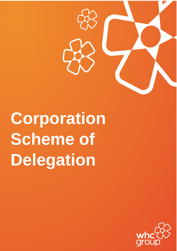

**Corporation Scheme of Delegation**

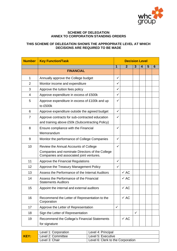

## **SCHEME OF DELEGATION ANNEX TO CORPORATION STANDING ORDERS**

## **THIS SCHEME OF DELEGATION SHOWS THE APPROPRIATE LEVEL AT WHICH DECISIONS ARE REQUIRED TO BE MADE**

| <b>Number</b>  | <b>Key Function/Task</b>                                                                          | <b>Decision Level</b> |                 |              |   |   |   |  |  |
|----------------|---------------------------------------------------------------------------------------------------|-----------------------|-----------------|--------------|---|---|---|--|--|
|                |                                                                                                   | $\mathbf 1$           | $\overline{2}$  | 3            | 4 | 5 | 6 |  |  |
|                | <b>FINANCIAL</b>                                                                                  |                       |                 |              |   |   |   |  |  |
| $\mathbf{1}$   | Annually approve the College budget                                                               | $\checkmark$          |                 |              |   |   |   |  |  |
| $\overline{2}$ | Monitor income and expenditure                                                                    | $\checkmark$          |                 |              |   |   |   |  |  |
| 3              | Approve the tuition fees policy                                                                   | ✓                     |                 |              |   |   |   |  |  |
| 4              | Approve expenditure in excess of £500k                                                            | ✓                     |                 |              |   |   |   |  |  |
| 5              | Approve expenditure in excess of £100k and up<br>to £500k                                         | ✓                     |                 |              |   |   |   |  |  |
| 6              | Approve expenditure outside the agreed budget                                                     | $\checkmark$          |                 |              |   |   |   |  |  |
| $\overline{7}$ | Approve contracts for sub-contracted education<br>and training above £50k (Subcontracting Policy) | ✓                     |                 |              |   |   |   |  |  |
| 8              | Ensure compliance with the Financial<br>Memorandum                                                | ✓                     |                 |              |   |   |   |  |  |
| 9              | Monitor the performance of College Companies                                                      | ✓                     |                 |              |   |   |   |  |  |
| 10             | Review the Annual Accounts of College                                                             | ✓                     |                 |              |   |   |   |  |  |
|                | Companies and nominate Directors of the College<br>Companies and associated joint ventures.       |                       |                 |              |   |   |   |  |  |
| 11             | Approve the Financial Regulations                                                                 | $\checkmark$          |                 |              |   |   |   |  |  |
| 12             | Approve the Treasury Management Policy                                                            | $\checkmark$          |                 |              |   |   |   |  |  |
| 13             | Assess the Performance of the Internal Auditors                                                   |                       | $\checkmark$ AC |              |   |   |   |  |  |
| 14             | Assess the Performance of the Financial<br><b>Statements Auditors</b>                             |                       | $\checkmark$ AC |              |   |   |   |  |  |
| 15             | Appoint the internal and external auditors                                                        |                       | $\checkmark$ AC |              |   |   |   |  |  |
| 16             | Recommend the Letter of Representation to the<br>Corporation                                      |                       | $\checkmark$ AC |              |   |   |   |  |  |
| 17             | Approve the Letter of Representation                                                              | $\checkmark$          |                 |              |   |   |   |  |  |
| 18             | Sign the Letter of Representation                                                                 |                       |                 | $\checkmark$ |   |   |   |  |  |
| 19             | Recommend the College's Financial Statements                                                      |                       | $\checkmark$ AC |              |   |   |   |  |  |
|                | for signature                                                                                     |                       |                 |              |   |   |   |  |  |

|      | Level 1: Corporation | Level 4: Principal                |
|------|----------------------|-----------------------------------|
| KEY: | Level 2: Committee   | Level 5: Executive                |
|      | Level 3: Chair       | Level 6: Clerk to the Corporation |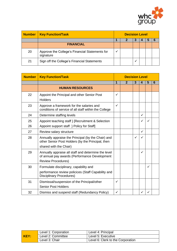

| <b>Number</b> | <b>Key Function/Task</b>                                    | <b>Decision Level</b> |  |  |
|---------------|-------------------------------------------------------------|-----------------------|--|--|
|               |                                                             |                       |  |  |
|               | <b>FINANCIAL</b>                                            |                       |  |  |
| 20            | Approve the College's Financial Statements for<br>signature |                       |  |  |
| 21            | Sign off the College's Financial Statements                 |                       |  |  |

| <b>Number</b> | <b>Key Function/Task</b>                                                                                                          | <b>Decision Level</b> |              |              |              |              |   |
|---------------|-----------------------------------------------------------------------------------------------------------------------------------|-----------------------|--------------|--------------|--------------|--------------|---|
|               |                                                                                                                                   | 1                     | $\mathbf{2}$ | 3            | 4            | 5            | 6 |
|               | <b>HUMAN RESOURCES</b>                                                                                                            |                       |              |              |              |              |   |
| 22            | Appoint the Principal and other Senior Post<br><b>Holders</b>                                                                     | $\checkmark$          |              |              |              |              |   |
| 23            | Approve a framework for the salaries and<br>conditions of service of all staff within the College                                 | $\checkmark$          |              |              |              |              |   |
| 24            | Determine staffing levels                                                                                                         |                       |              |              | $\checkmark$ |              |   |
| 25            | Appoint teaching staff } [Recruitment & Selection                                                                                 |                       |              |              | ✓            | ✓            |   |
| 26            | Appoint support staff } Policy for Staff]                                                                                         |                       |              |              |              |              |   |
| 27            | Review salary structure                                                                                                           |                       |              |              | $\checkmark$ |              |   |
| 28            | Annually appraise the Principal (by the Chair) and<br>other Senior Post Holders (by the Principal, then<br>shared with the Chair) |                       |              | $\checkmark$ | ✓            |              |   |
| 29            | Annually appraise all staff and determine the level<br>of annual pay awards (Performance Development<br><b>Review Procedures)</b> |                       |              |              | ✓            |              |   |
| 30            | Formulate disciplinary, capability and<br>performance review policices (Staff Capability and<br><b>Disciplinary Procedures)</b>   |                       |              |              |              | $\checkmark$ |   |
| 31            | Dismissal/suspension of the Principal/other<br><b>Senior Post Holders</b>                                                         | ✓                     |              |              |              |              |   |
| 32            | Dismiss and suspend staff (Redundancy Policy)                                                                                     | ✓                     |              |              | ✓            | ✓            |   |

|      | Level 1: Corporation | Level 4: Principal                |
|------|----------------------|-----------------------------------|
| KEY: | Level 2: Committee   | Level 5: Executive                |
|      | Level 3: Chair       | Level 6: Clerk to the Corporation |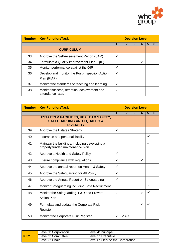

| <b>Number</b> | <b>Key Function/Task</b>                                        | <b>Decision Level</b> |  |   |   |  |   |
|---------------|-----------------------------------------------------------------|-----------------------|--|---|---|--|---|
|               |                                                                 |                       |  | 3 |   |  | n |
|               | <b>CURRICULUM</b>                                               |                       |  |   |   |  |   |
| 33            | Approve the Self-Assessment Report (SAR)                        | $\checkmark$          |  |   |   |  |   |
| 34            | Formulate a Quality Improvement Plan (QIP)                      |                       |  |   | ✓ |  |   |
| 35            | Monitor performance against the QIP                             | $\checkmark$          |  |   |   |  |   |
| 36            | Develop and monitor the Post-Inspection Action<br>Plan (PIAP)   | ✓                     |  |   |   |  |   |
| 37            | Monitor the standards of teaching and learning                  | $\checkmark$          |  |   |   |  |   |
| 38            | Monitor success, retention, achievement and<br>attendance rates | $\checkmark$          |  |   |   |  |   |

| <b>Number</b> | <b>Key Function/Task</b>                                                                                            | <b>Decision Level</b> |                 |   |              |              |   |
|---------------|---------------------------------------------------------------------------------------------------------------------|-----------------------|-----------------|---|--------------|--------------|---|
|               |                                                                                                                     | 1                     | $\mathbf{2}$    | 3 | 4            | 5            | 6 |
|               | <b>ESTATES &amp; FACILITIES, HEALTH &amp; SAFETY,</b><br><b>SAFEGUARDING AND EQUALITY &amp;</b><br><b>DIVERSITY</b> |                       |                 |   |              |              |   |
| 39            | Approve the Estates Strategy                                                                                        | ✓                     |                 |   |              |              |   |
| 40            | Insurance and personal liability                                                                                    |                       |                 |   |              | ✓            |   |
| 41            | Maintain the buildings, including developing a<br>properly funded maintenance plan                                  |                       |                 |   |              | ✓            |   |
| 42            | Approve a Health and Safety Policy                                                                                  | $\checkmark$          |                 |   |              |              |   |
| 43            | Ensure compliance with regulations                                                                                  | $\checkmark$          |                 |   | $\checkmark$ |              |   |
| 44            | Approve the annual report on Health & Safety                                                                        | $\checkmark$          |                 |   |              |              |   |
| 45            | Approve the Safeguarding for All Policy                                                                             | ✓                     |                 |   |              |              |   |
| 46            | Approve the Annual Report on Safeguarding                                                                           | $\checkmark$          |                 |   |              |              |   |
| 47            | Monitor Safeguarding including Safe Recruitment                                                                     |                       |                 |   |              | $\checkmark$ |   |
| 48            | Monitor the Safeguarding, E&D and Prevent<br><b>Action Plan</b>                                                     | ✓                     |                 |   | ✓            | ✓            |   |
| 49            | Formulate and update the Corporate Risk<br>Register                                                                 |                       |                 |   | ✓            | ✓            |   |
| 50            | Monitor the Corporate Risk Register                                                                                 | ✓                     | $\checkmark$ AC |   |              |              |   |

|      | Level 1: Corporation | Level 4: Principal                |
|------|----------------------|-----------------------------------|
| KEY: | Level 2: Committee   | Level 5: Executive                |
|      | Level 3: Chair       | Level 6: Clerk to the Corporation |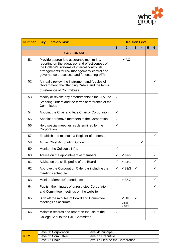

| <b>Number</b> | <b>Key Function/Task</b>                                                                                                                                                                                                                     | <b>Decision Level</b> |                                |   |   |   |              |
|---------------|----------------------------------------------------------------------------------------------------------------------------------------------------------------------------------------------------------------------------------------------|-----------------------|--------------------------------|---|---|---|--------------|
|               |                                                                                                                                                                                                                                              | 1                     | $\mathbf{2}$                   | 3 | 4 | 5 | 6            |
|               | <b>GOVERNANCE</b>                                                                                                                                                                                                                            |                       |                                |   |   |   |              |
| 51            | Provide appropriate assurance monitoring/<br>reporting on the adequacy and effectiveness of<br>the College's systems of internal control, its<br>arrangements for risk management/ control and<br>governance processes, and for ensuring VFM |                       | $\checkmark$ AC                |   |   |   |              |
| 52            | Annually review the Instrument and Articles of<br>Government, the Standing Orders and the terms<br>of reference of Committees                                                                                                                |                       |                                |   |   |   | ✓            |
| 53            | Modify or revoke any amendments to the I&A, the<br>Standing Orders and the terms of reference of the<br>Committees                                                                                                                           | $\checkmark$          |                                |   |   |   |              |
| 54            | Appoint the Chair and Vice Chair of Corporation                                                                                                                                                                                              | ✓                     |                                |   |   |   |              |
| 55            | Appoint or remove members of the Corporation                                                                                                                                                                                                 | ✓                     |                                |   |   |   |              |
| 56            | Hold special meetings as determined by the<br>Corporation                                                                                                                                                                                    | $\checkmark$          |                                |   |   |   |              |
| 57            | Establish and maintain a Register of Interests                                                                                                                                                                                               |                       |                                |   |   |   | $\checkmark$ |
| 58            | Act as Chief Accounting Officer                                                                                                                                                                                                              |                       |                                |   | ✓ |   |              |
| 59            | Monitor the College's KPIs                                                                                                                                                                                                                   | $\checkmark$          |                                |   |   |   |              |
| 60            | Advise on the appointment of members                                                                                                                                                                                                         | $\checkmark$          | $\sqrt{\text{S&}}G$            |   |   |   | ✓            |
| 61            | Advise on the skills profile of the Board                                                                                                                                                                                                    | ✓                     | $\sqrt{\text{S&}}G$            |   |   |   | ✓            |
| 62            | Approve the Corporation Calendar including the<br>meetings schedule                                                                                                                                                                          | ✓                     | $\checkmark$ S&G               | ✓ |   |   |              |
| 63            | <b>Monitor Members' attendance</b>                                                                                                                                                                                                           | ✓                     | $\sqrt{\text{S&}}G$            |   |   |   | ✓            |
| 64            | Publish the minutes of unrestricted Corporation<br>and Committee meetings on the website                                                                                                                                                     |                       |                                |   |   |   | $\checkmark$ |
| 65            | Sign off the minutes of Board and Committee<br>meetings as accurate                                                                                                                                                                          |                       | $\sqrt{A}$<br>C'ttee<br>Chairs | ✓ |   |   |              |
| 66            | Maintain records and report on the use of the<br>College Seal to the F&R Committee                                                                                                                                                           | ✓                     |                                |   |   |   | $\checkmark$ |

|      | Level 1: Corporation | Level 4: Principal                |
|------|----------------------|-----------------------------------|
| KEY: | Level 2: Committee   | Level 5: Executive                |
|      | Level 3: Chair       | Level 6: Clerk to the Corporation |